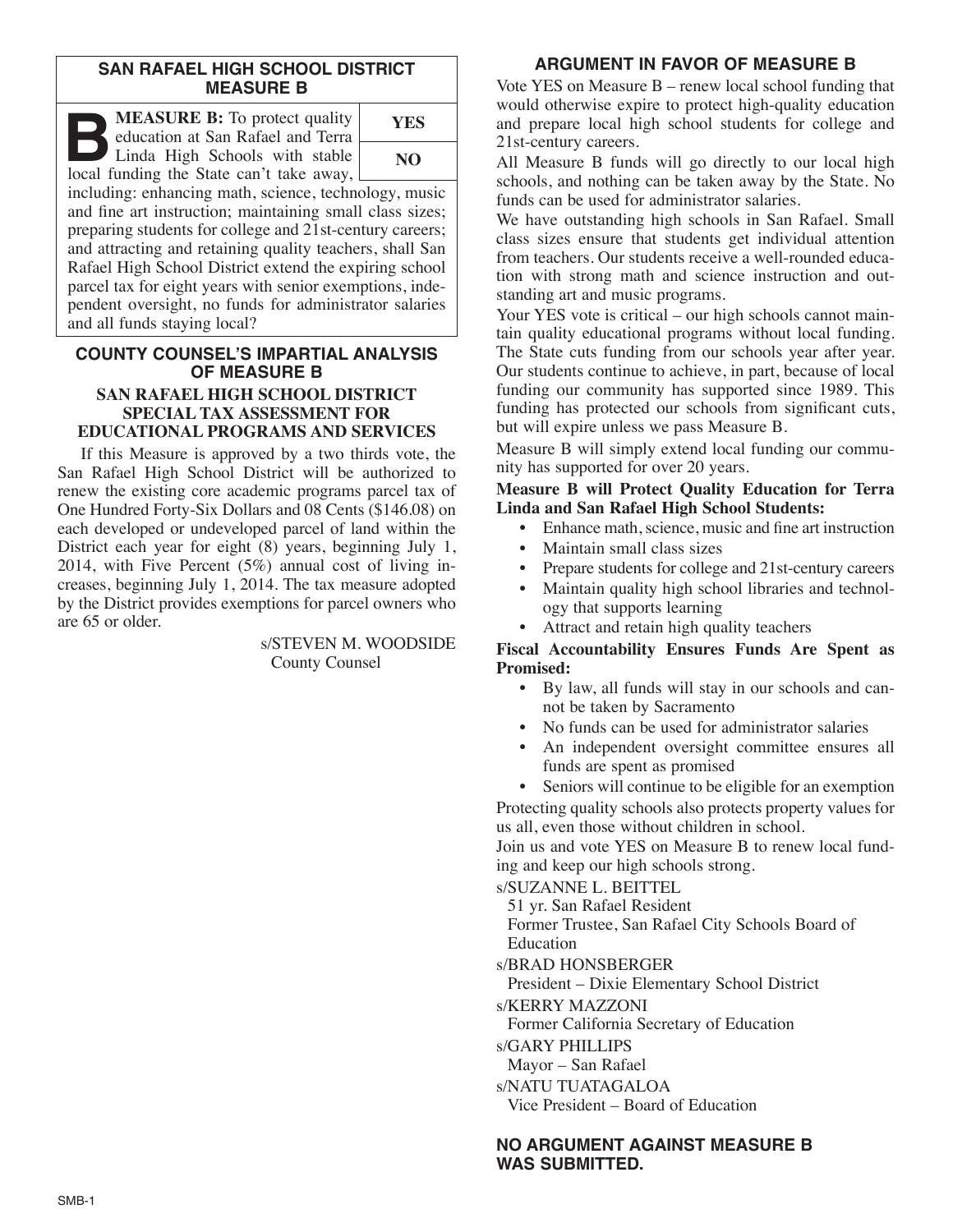### **SAN RAFAEL HIGH SCHOOL DISTRICT MEASURE B**

**B:** To protect quality education at San Rafael and Terra Linda High Schools with stable local funding the State can't take away. education at San Rafael and Terra Linda High Schools with stable local funding the State can't take away,



including: enhancing math, science, technology, music and fine art instruction; maintaining small class sizes; preparing students for college and 21st-century careers; and attracting and retaining quality teachers, shall San Rafael High School District extend the expiring school parcel tax for eight years with senior exemptions, independent oversight, no funds for administrator salaries and all funds staying local?

### **COUNTY COUNSEL'S IMPARTIAL ANALYSIS OF MEASURE B SAN RAFAEL HIGH SCHOOL DISTRICT SPECIAL TAX ASSESSMENT FOR**

# **EDUCATIONAL PROGRAMS AND SERVICES**

If this Measure is approved by a two thirds vote, the San Rafael High School District will be authorized to renew the existing core academic programs parcel tax of One Hundred Forty-Six Dollars and 08 Cents (\$146.08) on each developed or undeveloped parcel of land within the District each year for eight (8) years, beginning July 1, 2014, with Five Percent (5%) annual cost of living increases, beginning July 1, 2014. The tax measure adopted by the District provides exemptions for parcel owners who are 65 or older.

> s/STEVEN M. WOODSIDE County Counsel

# **ARGUMENT IN FAVOR OF MEASURE B**

Vote YES on Measure B – renew local school funding that would otherwise expire to protect high-quality education and prepare local high school students for college and 21st-century careers.

All Measure B funds will go directly to our local high schools, and nothing can be taken away by the State. No funds can be used for administrator salaries.

We have outstanding high schools in San Rafael. Small class sizes ensure that students get individual attention from teachers. Our students receive a well-rounded education with strong math and science instruction and outstanding art and music programs.

Your YES vote is critical – our high schools cannot maintain quality educational programs without local funding. The State cuts funding from our schools year after year. Our students continue to achieve, in part, because of local funding our community has supported since 1989. This funding has protected our schools from significant cuts, but will expire unless we pass Measure B.

Measure B will simply extend local funding our community has supported for over 20 years.

### **Measure B will Protect Quality Education for Terra Linda and San Rafael High School Students:**

- Enhance math, science, music and fine art instruction
- Maintain small class sizes
- Prepare students for college and 21st-century careers
- Maintain quality high school libraries and technology that supports learning
- Attract and retain high quality teachers

### **Fiscal Accountability Ensures Funds Are Spent as Promised:**

- By law, all funds will stay in our schools and cannot be taken by Sacramento
- No funds can be used for administrator salaries
- An independent oversight committee ensures all funds are spent as promised
- Seniors will continue to be eligible for an exemption

Protecting quality schools also protects property values for us all, even those without children in school.

Join us and vote YES on Measure B to renew local funding and keep our high schools strong.

s/SUZANNE L. BEITTEL

51 yr. San Rafael Resident Former Trustee, San Rafael City Schools Board of Education

s/BRAD HONSBERGER

President – Dixie Elementary School District

s/KERRY MAZZONI

Former California Secretary of Education

- s/GARY PHILLIPS
- Mayor San Rafael

s/NATU TUATAGALOA

Vice President – Board of Education

### **NO ARGUMENT AGAINST MEASURE B WAS SUBMITTED.**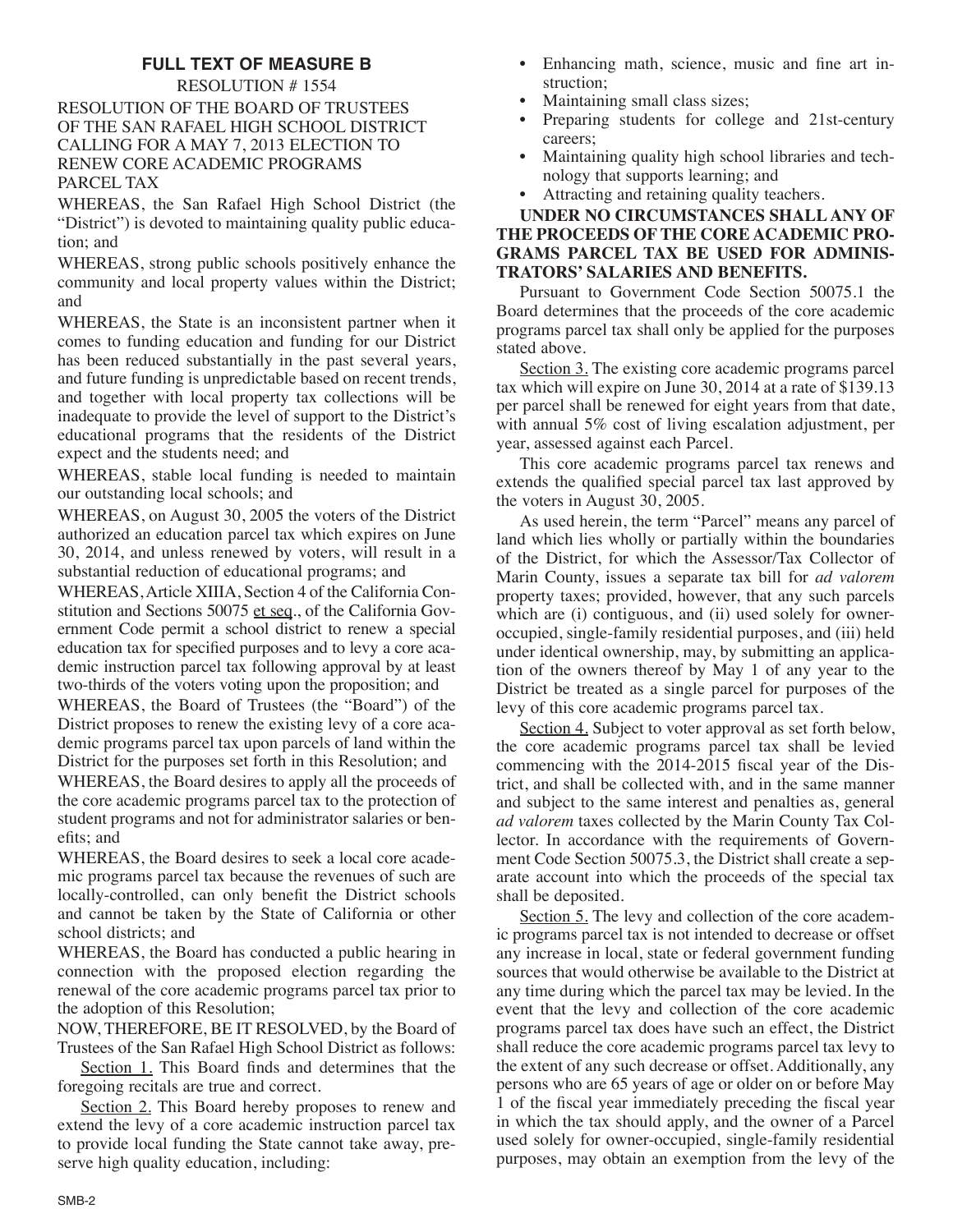## **FULL TEXT OF MEASURE B**

RESOLUTION # 1554 RESOLUTION OF THE BOARD OF TRUSTEES OF THE SAN RAFAEL HIGH SCHOOL DISTRICT CALLING FOR A MAY 7, 2013 ELECTION TO RENEW CORE ACADEMIC PROGRAMS PARCEL TAX

WHEREAS, the San Rafael High School District (the "District") is devoted to maintaining quality public education; and

WHEREAS, strong public schools positively enhance the community and local property values within the District; and

WHEREAS, the State is an inconsistent partner when it comes to funding education and funding for our District has been reduced substantially in the past several years, and future funding is unpredictable based on recent trends, and together with local property tax collections will be inadequate to provide the level of support to the District's educational programs that the residents of the District expect and the students need; and

WHEREAS, stable local funding is needed to maintain our outstanding local schools; and

WHEREAS, on August 30, 2005 the voters of the District authorized an education parcel tax which expires on June 30, 2014, and unless renewed by voters, will result in a substantial reduction of educational programs; and

WHEREAS,Article XIIIA, Section 4 of the California Constitution and Sections 50075 et seq., of the California Government Code permit a school district to renew a special education tax for specified purposes and to levy a core academic instruction parcel tax following approval by at least two-thirds of the voters voting upon the proposition; and

WHEREAS, the Board of Trustees (the "Board") of the District proposes to renew the existing levy of a core academic programs parcel tax upon parcels of land within the District for the purposes set forth in this Resolution; and

WHEREAS, the Board desires to apply all the proceeds of the core academic programs parcel tax to the protection of student programs and not for administrator salaries or benefits; and

WHEREAS, the Board desires to seek a local core academic programs parcel tax because the revenues of such are locally-controlled, can only benefit the District schools and cannot be taken by the State of California or other school districts; and

WHEREAS, the Board has conducted a public hearing in connection with the proposed election regarding the renewal of the core academic programs parcel tax prior to the adoption of this Resolution;

NOW, THEREFORE, BE IT RESOLVED, by the Board of Trustees of the San Rafael High School District as follows:

Section 1. This Board finds and determines that the foregoing recitals are true and correct.

Section 2. This Board hereby proposes to renew and extend the levy of a core academic instruction parcel tax to provide local funding the State cannot take away, preserve high quality education, including:

- Enhancing math, science, music and fine art instruction;
- Maintaining small class sizes;
- Preparing students for college and 21st-century careers;
- Maintaining quality high school libraries and technology that supports learning; and
- Attracting and retaining quality teachers.

### **UNDER NO CIRCUMSTANCES SHALL ANY OF THE PROCEEDS OF THE CORE ACADEMIC PRO-GRAMS PARCEL TAX BE USED FOR ADMINIS-TRATORS' SALARIES AND BENEFITS.**

Pursuant to Government Code Section 50075.1 the Board determines that the proceeds of the core academic programs parcel tax shall only be applied for the purposes stated above.

Section 3. The existing core academic programs parcel tax which will expire on June 30, 2014 at a rate of \$139.13 per parcel shall be renewed for eight years from that date, with annual 5% cost of living escalation adjustment, per year, assessed against each Parcel.

This core academic programs parcel tax renews and extends the qualified special parcel tax last approved by the voters in August 30, 2005.

As used herein, the term "Parcel" means any parcel of land which lies wholly or partially within the boundaries of the District, for which the Assessor/Tax Collector of Marin County, issues a separate tax bill for *ad valorem* property taxes; provided, however, that any such parcels which are (i) contiguous, and (ii) used solely for owneroccupied, single-family residential purposes, and (iii) held under identical ownership, may, by submitting an application of the owners thereof by May 1 of any year to the District be treated as a single parcel for purposes of the levy of this core academic programs parcel tax.

Section 4. Subject to voter approval as set forth below, the core academic programs parcel tax shall be levied commencing with the 2014-2015 fiscal year of the District, and shall be collected with, and in the same manner and subject to the same interest and penalties as, general *ad valorem* taxes collected by the Marin County Tax Collector. In accordance with the requirements of Government Code Section 50075.3, the District shall create a separate account into which the proceeds of the special tax shall be deposited.

Section 5. The levy and collection of the core academic programs parcel tax is not intended to decrease or offset any increase in local, state or federal government funding sources that would otherwise be available to the District at any time during which the parcel tax may be levied. In the event that the levy and collection of the core academic programs parcel tax does have such an effect, the District shall reduce the core academic programs parcel tax levy to the extent of any such decrease or offset. Additionally, any persons who are 65 years of age or older on or before May 1 of the fiscal year immediately preceding the fiscal year in which the tax should apply, and the owner of a Parcel used solely for owner-occupied, single-family residential purposes, may obtain an exemption from the levy of the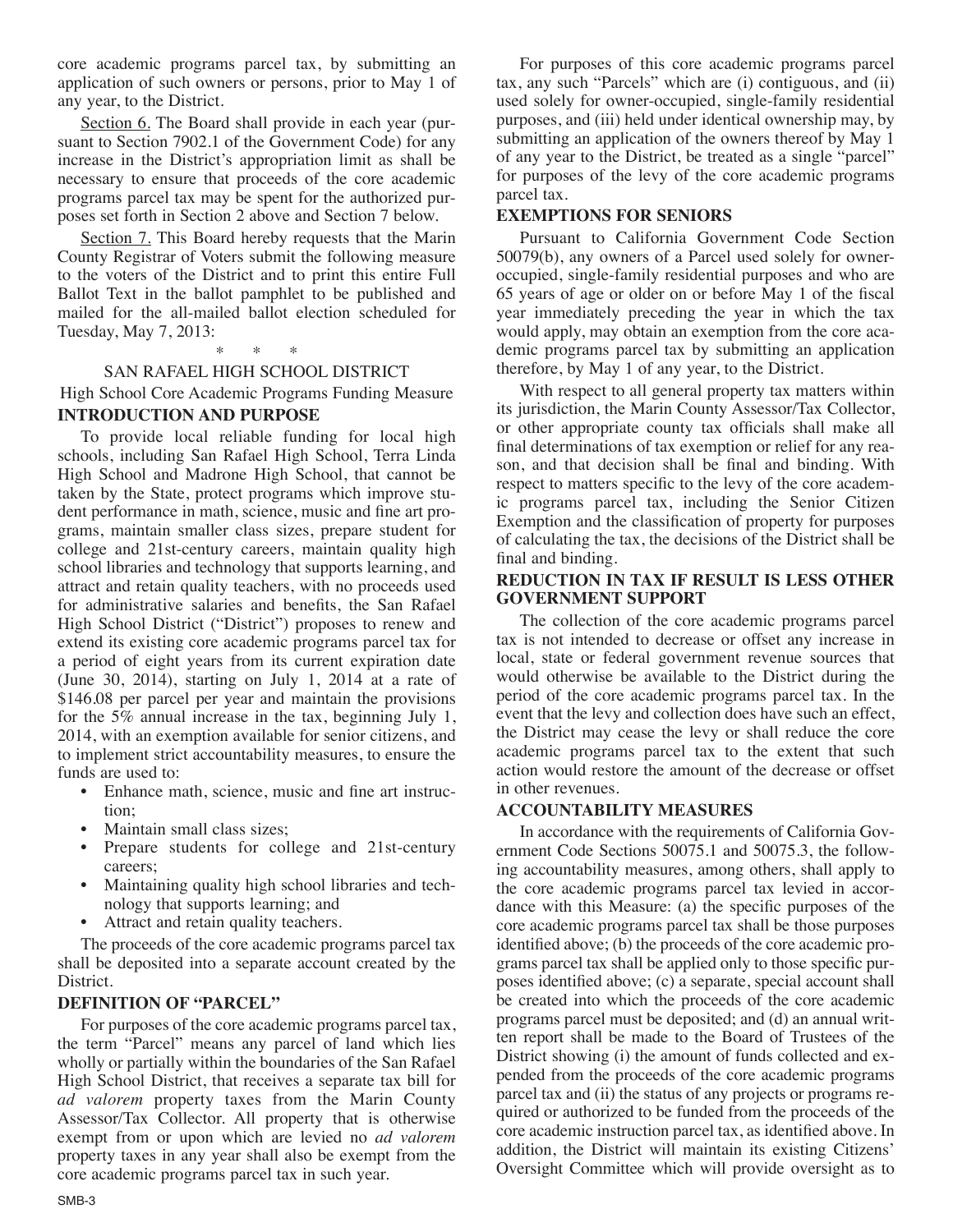core academic programs parcel tax, by submitting an application of such owners or persons, prior to May 1 of any year, to the District.

Section 6. The Board shall provide in each year (pursuant to Section 7902.1 of the Government Code) for any increase in the District's appropriation limit as shall be necessary to ensure that proceeds of the core academic programs parcel tax may be spent for the authorized purposes set forth in Section 2 above and Section 7 below.

Section 7. This Board hereby requests that the Marin County Registrar of Voters submit the following measure to the voters of the District and to print this entire Full Ballot Text in the ballot pamphlet to be published and mailed for the all-mailed ballot election scheduled for Tuesday, May 7, 2013:

### \* \* \*

#### SAN RAFAEL HIGH SCHOOL DISTRICT

High School Core Academic Programs Funding Measure **INTRODUCTION AND PURPOSE**

To provide local reliable funding for local high schools, including San Rafael High School, Terra Linda High School and Madrone High School, that cannot be taken by the State, protect programs which improve student performance in math, science, music and fine art programs, maintain smaller class sizes, prepare student for college and 21st-century careers, maintain quality high school libraries and technology that supports learning, and attract and retain quality teachers, with no proceeds used for administrative salaries and benefits, the San Rafael High School District ("District") proposes to renew and extend its existing core academic programs parcel tax for a period of eight years from its current expiration date (June 30, 2014), starting on July 1, 2014 at a rate of \$146.08 per parcel per year and maintain the provisions for the 5% annual increase in the tax, beginning July 1, 2014, with an exemption available for senior citizens, and to implement strict accountability measures, to ensure the funds are used to:

- Enhance math, science, music and fine art instruction;
- Maintain small class sizes;
- Prepare students for college and 21st-century careers;
- Maintaining quality high school libraries and technology that supports learning; and
- Attract and retain quality teachers.

The proceeds of the core academic programs parcel tax shall be deposited into a separate account created by the District.

#### **DEFINITION OF "PARCEL"**

For purposes of the core academic programs parcel tax, the term "Parcel" means any parcel of land which lies wholly or partially within the boundaries of the San Rafael High School District, that receives a separate tax bill for *ad valorem* property taxes from the Marin County Assessor/Tax Collector. All property that is otherwise exempt from or upon which are levied no *ad valorem* property taxes in any year shall also be exempt from the core academic programs parcel tax in such year.

For purposes of this core academic programs parcel tax, any such "Parcels" which are (i) contiguous, and (ii) used solely for owner-occupied, single-family residential purposes, and (iii) held under identical ownership may, by submitting an application of the owners thereof by May 1 of any year to the District, be treated as a single "parcel" for purposes of the levy of the core academic programs parcel tax.

### **EXEMPTIONS FOR SENIORS**

Pursuant to California Government Code Section 50079(b), any owners of a Parcel used solely for owneroccupied, single-family residential purposes and who are 65 years of age or older on or before May 1 of the fiscal year immediately preceding the year in which the tax would apply, may obtain an exemption from the core academic programs parcel tax by submitting an application therefore, by May 1 of any year, to the District.

With respect to all general property tax matters within its jurisdiction, the Marin County Assessor/Tax Collector, or other appropriate county tax officials shall make all final determinations of tax exemption or relief for any reason, and that decision shall be final and binding. With respect to matters specific to the levy of the core academic programs parcel tax, including the Senior Citizen Exemption and the classification of property for purposes of calculating the tax, the decisions of the District shall be final and binding.

### **REDUCTION IN TAX IF RESULT IS LESS OTHER GOVERNMENT SUPPORT**

The collection of the core academic programs parcel tax is not intended to decrease or offset any increase in local, state or federal government revenue sources that would otherwise be available to the District during the period of the core academic programs parcel tax. In the event that the levy and collection does have such an effect, the District may cease the levy or shall reduce the core academic programs parcel tax to the extent that such action would restore the amount of the decrease or offset in other revenues.

#### **ACCOUNTABILITY MEASURES**

In accordance with the requirements of California Government Code Sections 50075.1 and 50075.3, the following accountability measures, among others, shall apply to the core academic programs parcel tax levied in accordance with this Measure: (a) the specific purposes of the core academic programs parcel tax shall be those purposes identified above; (b) the proceeds of the core academic programs parcel tax shall be applied only to those specific purposes identified above; (c) a separate, special account shall be created into which the proceeds of the core academic programs parcel must be deposited; and (d) an annual written report shall be made to the Board of Trustees of the District showing (i) the amount of funds collected and expended from the proceeds of the core academic programs parcel tax and (ii) the status of any projects or programs required or authorized to be funded from the proceeds of the core academic instruction parcel tax, as identified above. In addition, the District will maintain its existing Citizens' Oversight Committee which will provide oversight as to